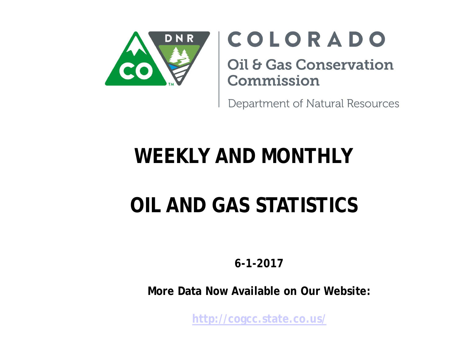

# COLORADO

**Oil & Gas Conservation** Commission

Department of Natural Resources

# **WEEKLY AND MONTHLY**

# **OIL AND GAS STATISTICS**

**6-1-2017** 

**More Data Now Available on Our Website:** 

**<http://cogcc.state.co.us/>**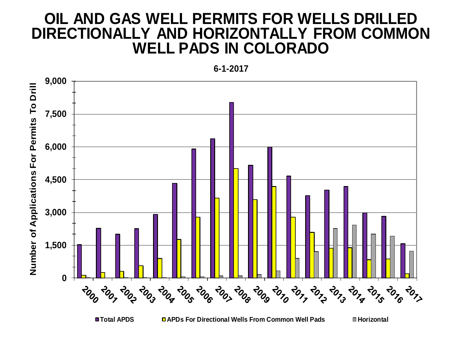#### **OIL AND GAS WELL PERMITS FOR WELLS DRILLED DIRECTIONALLY AND HORIZONTALLY FROM COMMON WELL PADS IN COLORADO**



**Total APDS APDs For Directional Wells From Common Well Pads Horizontal**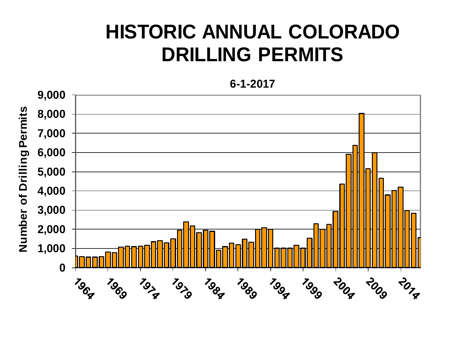## **HISTORIC ANNUAL COLORADO DRILLING PERMITS**

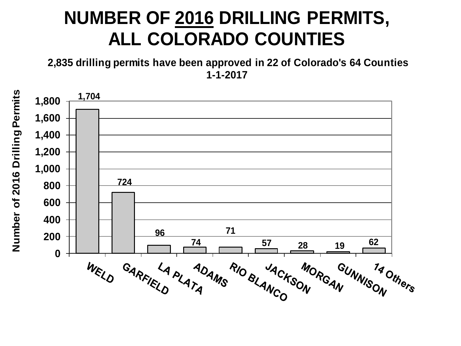## **NUMBER OF 2016 DRILLING PERMITS, ALL COLORADO COUNTIES**

**2,835 drilling permits have been approved in 22 of Colorado's 64 Counties 1-1-2017**

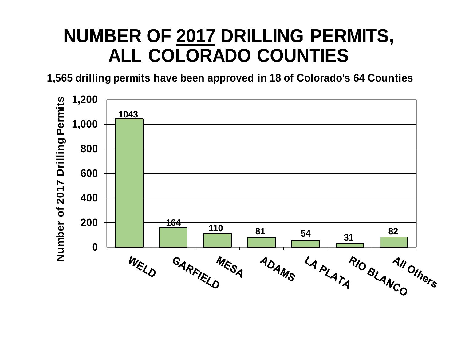## **NUMBER OF 2017 DRILLING PERMITS, ALL COLORADO COUNTIES**

**1,565 drilling permits have been approved in 18 of Colorado's 64 Counties**

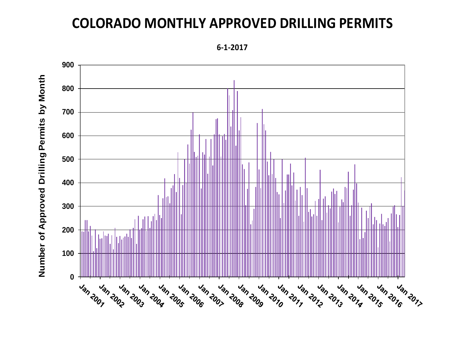#### **COLORADO MONTHLY APPROVED DRILLING PERMITS**

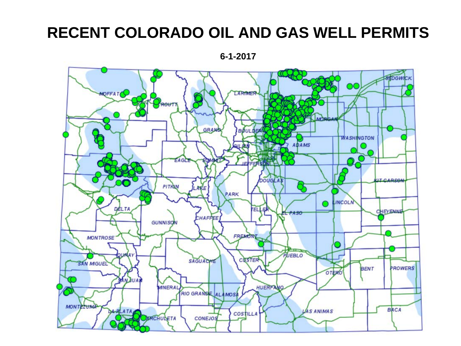### **RECENT COLORADO OIL AND GAS WELL PERMITS**

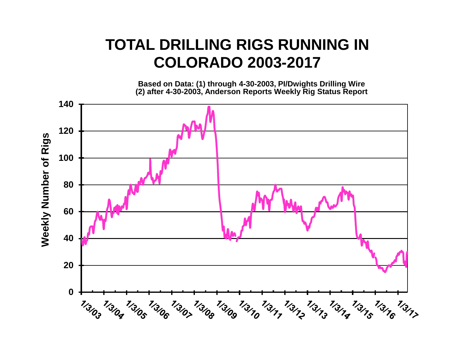#### **TOTAL DRILLING RIGS RUNNING IN COLORADO 2003-2017**

**Based on Data: (1) through 4-30-2003, PI/Dwights Drilling Wire (2) after 4-30-2003, Anderson Reports Weekly Rig Status Report** 

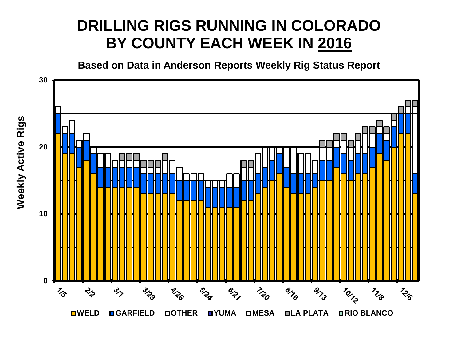### **DRILLING RIGS RUNNING IN COLORADO BY COUNTY EACH WEEK IN 2016**

**Based on Data in Anderson Reports Weekly Rig Status Report**



**Weekly Active Rigs Weekly Active Rigs**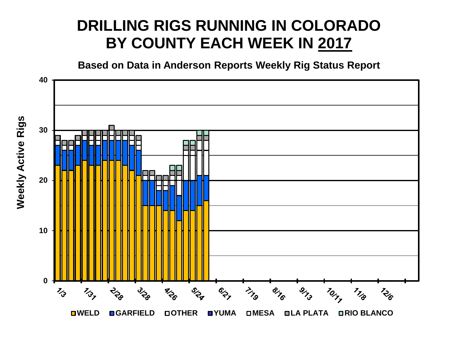### **DRILLING RIGS RUNNING IN COLORADO BY COUNTY EACH WEEK IN 2017**

**Based on Data in Anderson Reports Weekly Rig Status Report**

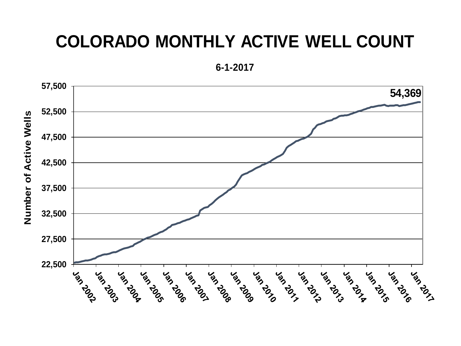## **COLORADO MONTHLY ACTIVE WELL COUNT**

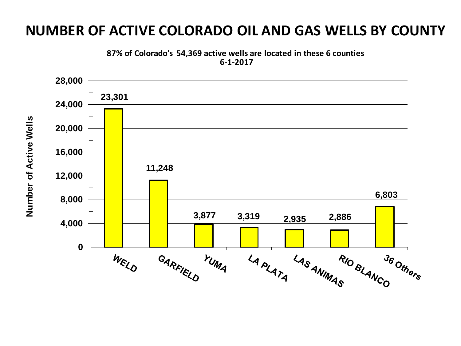#### **NUMBER OF ACTIVE COLORADO OIL AND GAS WELLS BY COUNTY**





Number of Active Wells **Number of Active Wells**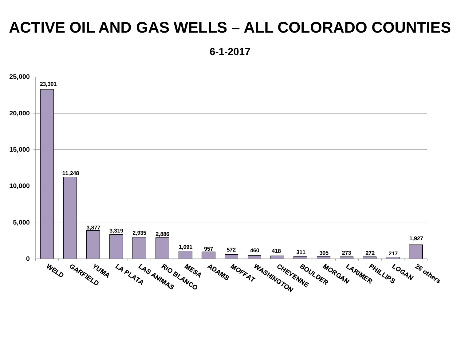### **ACTIVE OIL AND GAS WELLS – ALL COLORADO COUNTIES**

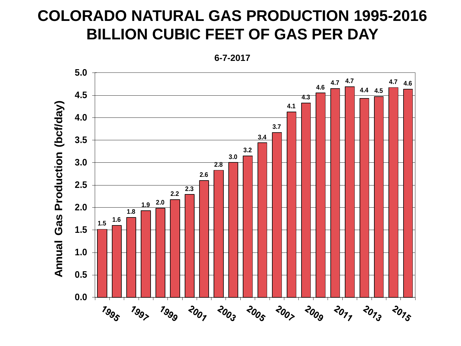### **COLORADO NATURAL GAS PRODUCTION 1995-2016 BILLION CUBIC FEET OF GAS PER DAY**

**6-7-2017**

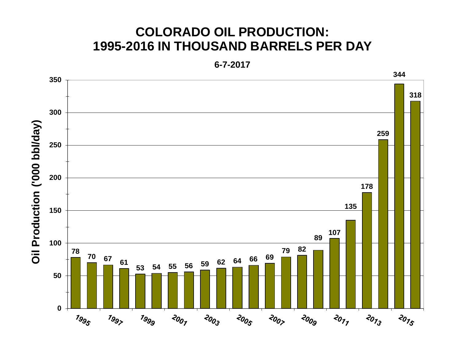#### **COLORADO OIL PRODUCTION: 1995-2016 IN THOUSAND BARRELS PER DAY**

**6-7-2017**

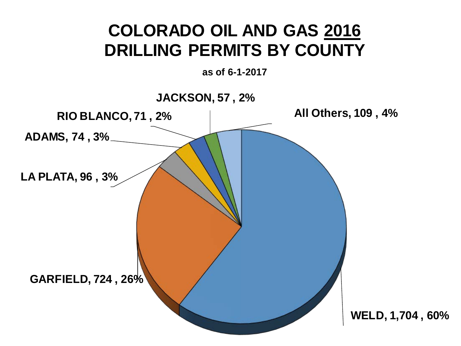## **COLORADO OIL AND GAS 2016 DRILLING PERMITS BY COUNTY**

**as of 6-1-2017**